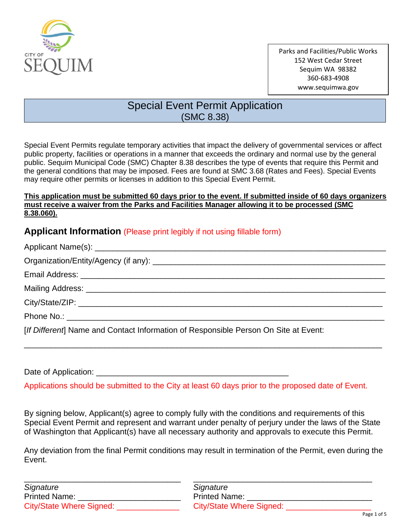

# Special Event Permit Application (SMC 8.38)

Special Event Permits regulate temporary activities that impact the delivery of governmental services or affect public property, facilities or operations in a manner that exceeds the ordinary and normal use by the general public. Sequim Municipal Code (SMC) Chapter 8.38 describes the type of events that require this Permit and the general conditions that may be imposed. Fees are found at SMC 3.68 (Rates and Fees). Special Events may require other permits or licenses in addition to this Special Event Permit.

#### **This application must be submitted 60 days prior to the event. If submitted inside of 60 days organizers must receive a waiver from the Parks and Facilities Manager allowing it to be processed (SMC 8.38.060).**

## **Applicant Information** (Please print legibly if not using fillable form)

| [If Different] Name and Contact Information of Responsible Person On Site at Event: |  |
|-------------------------------------------------------------------------------------|--|

\_\_\_\_\_\_\_\_\_\_\_\_\_\_\_\_\_\_\_\_\_\_\_\_\_\_\_\_\_\_\_\_\_\_\_\_\_\_\_\_\_\_\_\_\_\_\_\_\_\_\_\_\_\_\_\_\_\_\_\_\_\_\_\_\_\_\_\_\_\_\_\_\_\_\_\_\_\_\_\_

Date of Application: \_\_\_\_\_\_\_\_\_\_\_\_\_\_\_\_\_\_\_\_\_\_\_\_\_\_\_\_\_\_\_\_\_\_\_\_\_\_\_\_\_\_\_

Applications should be submitted to the City at least 60 days prior to the proposed date of Event.

By signing below, Applicant(s) agree to comply fully with the conditions and requirements of this Special Event Permit and represent and warrant under penalty of perjury under the laws of the State of Washington that Applicant(s) have all necessary authority and approvals to execute this Permit.

Any deviation from the final Permit conditions may result in termination of the Permit, even during the Event.

| Signature                | Signature                       |
|--------------------------|---------------------------------|
| <b>Printed Name:</b>     | <b>Printed Name:</b>            |
| City/State Where Signed: | <b>City/State Where Signed:</b> |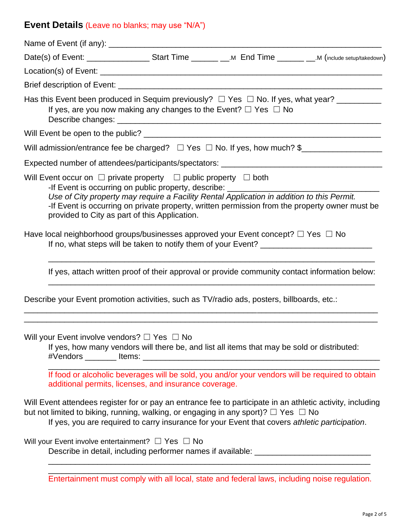# **Event Details** (Leave no blanks; may use "N/A")

|                                                                                                                                 | Has this Event been produced in Sequim previously? $\Box$ Yes $\Box$ No. If yes, what year? __________<br>If yes, are you now making any changes to the Event? $\Box$ Yes $\Box$ No                                                                                                                          |  |
|---------------------------------------------------------------------------------------------------------------------------------|--------------------------------------------------------------------------------------------------------------------------------------------------------------------------------------------------------------------------------------------------------------------------------------------------------------|--|
|                                                                                                                                 |                                                                                                                                                                                                                                                                                                              |  |
|                                                                                                                                 | Will admission/entrance fee be charged? $\Box$ Yes $\Box$ No. If yes, how much? \$                                                                                                                                                                                                                           |  |
|                                                                                                                                 |                                                                                                                                                                                                                                                                                                              |  |
| Will Event occur on $\Box$ private property $\Box$ public property $\Box$ both<br>provided to City as part of this Application. | -If Event is occurring on public property, describe: ___________________________<br>Use of City property may require a Facility Rental Application in addition to this Permit.<br>-If Event is occurring on private property, written permission from the property owner must be                             |  |
|                                                                                                                                 | Have local neighborhood groups/businesses approved your Event concept? $\Box$ Yes $\Box$ No                                                                                                                                                                                                                  |  |
|                                                                                                                                 | If yes, attach written proof of their approval or provide community contact information below:                                                                                                                                                                                                               |  |
|                                                                                                                                 | Describe your Event promotion activities, such as TV/radio ads, posters, billboards, etc.:                                                                                                                                                                                                                   |  |
| Will your Event involve vendors? $\Box$ Yes $\Box$ No<br>additional permits, licenses, and insurance coverage.                  | If yes, how many vendors will there be, and list all items that may be sold or distributed:<br>If food or alcoholic beverages will be sold, you and/or your vendors will be required to obtain                                                                                                               |  |
|                                                                                                                                 | Will Event attendees register for or pay an entrance fee to participate in an athletic activity, including<br>but not limited to biking, running, walking, or engaging in any sport)? $\Box$ Yes $\Box$ No<br>If yes, you are required to carry insurance for your Event that covers athletic participation. |  |
| Will your Event involve entertainment? $\Box$ Yes $\Box$ No                                                                     | Describe in detail, including performer names if available: _____________________                                                                                                                                                                                                                            |  |
|                                                                                                                                 |                                                                                                                                                                                                                                                                                                              |  |

Entertainment must comply with all local, state and federal laws, including noise regulation.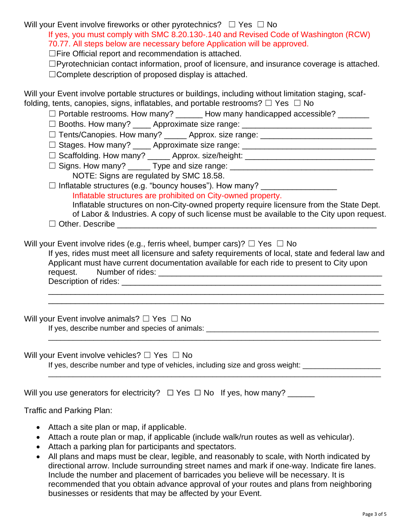Will your Event involve fireworks or other pyrotechnics?  $\Box$  Yes  $\Box$  No

If yes, you must comply with SMC 8.20.130-.140 and Revised Code of Washington (RCW) 70.77. All steps below are necessary before Application will be approved.

☐Fire Official report and recommendation is attached.

☐Pyrotechnician contact information, proof of licensure, and insurance coverage is attached.

☐Complete description of proposed display is attached.

Will your Event involve portable structures or buildings, including without limitation staging, scaffolding, tents, canopies, signs, inflatables, and portable restrooms?  $\Box$  Yes  $\Box$  No

- $\Box$  Portable restrooms. How many? \_\_\_\_\_\_ How many handicapped accessible? \_\_\_\_\_\_\_
- □ Booths. How many? \_\_\_\_\_ Approximate size range: \_\_\_\_\_\_\_\_\_\_\_\_\_\_\_\_\_\_\_\_\_\_\_\_\_\_\_\_\_\_
- □ Tents/Canopies. How many? △ Approx. size range: △ △ Approxeded and Approxed and Approxed and Approxed and Approxed and Approxed and Approxed and Approxed and Approxed and Approxed and Approxed and Approxed and Approxed
- □ Stages. How many? \_\_\_\_\_ Approximate size range: \_\_\_\_\_\_\_\_\_\_\_\_\_\_\_\_\_\_\_\_\_\_\_\_\_\_\_\_\_\_
- □ Scaffolding. How many? \_\_\_\_\_\_ Approx. size/height: \_\_\_\_\_\_\_\_\_\_\_\_\_\_\_\_\_\_\_\_\_\_\_\_\_\_\_
- ☐ Signs. How many? \_\_\_\_\_ Type and size range: \_\_\_\_\_\_\_\_\_\_\_\_\_\_\_\_\_\_\_\_\_\_\_\_\_\_\_\_\_\_\_\_ NOTE: Signs are regulated by SMC 18.58.
- □ Inflatable structures (e.g. "bouncy houses"). How many? \_\_\_\_\_\_\_\_\_\_\_\_\_\_\_\_\_\_\_\_\_
	- Inflatable structures are prohibited on City-owned property.
	- Inflatable structures on non-City-owned property require licensure from the State Dept. of Labor & Industries. A copy of such license must be available to the City upon request.
- $\Box$  Other. Describe

Will your Event involve rides (e.g., ferris wheel, bumper cars)?  $\Box$  Yes  $\Box$  No

If yes, rides must meet all licensure and safety requirements of local, state and federal law and Applicant must have current documentation available for each ride to present to City upon request. Number of rides: \_\_\_\_\_\_\_\_\_\_\_\_\_\_\_\_\_\_\_\_\_\_\_\_\_\_\_\_\_\_\_\_\_\_\_\_\_\_\_\_\_\_\_\_\_\_\_\_\_\_

\_\_\_\_\_\_\_\_\_\_\_\_\_\_\_\_\_\_\_\_\_\_\_\_\_\_\_\_\_\_\_\_\_\_\_\_\_\_\_\_\_\_\_\_\_\_\_\_\_\_\_\_\_\_\_\_\_\_\_\_\_\_\_\_\_\_\_\_\_\_\_\_\_\_\_ \_\_\_\_\_\_\_\_\_\_\_\_\_\_\_\_\_\_\_\_\_\_\_\_\_\_\_\_\_\_\_\_\_\_\_\_\_\_\_\_\_\_\_\_\_\_\_\_\_\_\_\_\_\_\_\_\_\_\_\_\_\_\_\_\_\_\_\_\_\_\_\_\_\_\_

\_\_\_\_\_\_\_\_\_\_\_\_\_\_\_\_\_\_\_\_\_\_\_\_\_\_\_\_\_\_\_\_\_\_\_\_\_\_\_\_\_\_\_\_\_\_\_\_\_\_\_\_\_\_\_\_\_\_\_\_\_\_\_\_\_\_\_\_\_\_\_\_\_\_\_\_\_\_\_\_\_

\_\_\_\_\_\_\_\_\_\_\_\_\_\_\_\_\_\_\_\_\_\_\_\_\_\_\_\_\_\_\_\_\_\_\_\_\_\_\_\_\_\_\_\_\_\_\_\_\_\_\_\_\_\_\_\_\_\_\_\_\_\_\_\_\_\_\_\_\_\_\_\_\_\_\_\_\_\_\_\_\_

Description of rides: \_\_\_\_\_\_\_\_\_\_\_\_\_\_\_\_\_\_\_\_\_\_\_\_\_\_\_\_\_\_\_\_\_\_\_\_\_\_\_\_\_\_\_\_\_\_\_\_\_\_\_\_\_\_\_\_\_\_

Will your Event involve animals? □ Yes □ No

If yes, describe number and species of animals: \_\_\_\_\_\_\_\_\_\_\_\_\_\_\_\_\_\_\_\_\_\_\_\_\_\_\_\_\_\_\_\_\_\_\_\_\_\_\_\_\_\_

Will your Event involve vehicles? □ Yes □ No

If yes, describe number and type of vehicles, including size and gross weight: \_\_\_\_\_\_\_\_\_\_\_\_\_\_\_\_\_\_\_\_\_\_\_\_\_\_\_\_\_\_

| Will you use generators for electricity? $\Box$ Yes $\Box$ No If yes, how many? |  |  |
|---------------------------------------------------------------------------------|--|--|
|                                                                                 |  |  |

Traffic and Parking Plan:

- Attach a site plan or map, if applicable.
- Attach a route plan or map, if applicable (include walk/run routes as well as vehicular).
- Attach a parking plan for participants and spectators.
- All plans and maps must be clear, legible, and reasonably to scale, with North indicated by directional arrow. Include surrounding street names and mark if one-way. Indicate fire lanes. Include the number and placement of barricades you believe will be necessary. It is recommended that you obtain advance approval of your routes and plans from neighboring businesses or residents that may be affected by your Event.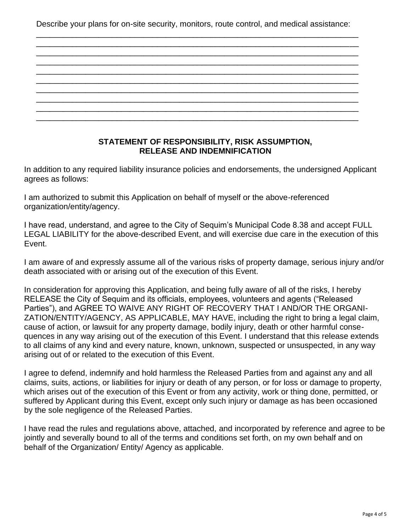Describe your plans for on-site security, monitors, route control, and medical assistance:

\_\_\_\_\_\_\_\_\_\_\_\_\_\_\_\_\_\_\_\_\_\_\_\_\_\_\_\_\_\_\_\_\_\_\_\_\_\_\_\_\_\_\_\_\_\_\_\_\_\_\_\_\_\_\_\_\_\_\_\_\_\_\_\_\_\_\_\_\_\_\_\_ \_\_\_\_\_\_\_\_\_\_\_\_\_\_\_\_\_\_\_\_\_\_\_\_\_\_\_\_\_\_\_\_\_\_\_\_\_\_\_\_\_\_\_\_\_\_\_\_\_\_\_\_\_\_\_\_\_\_\_\_\_\_\_\_\_\_\_\_\_\_\_\_

|  |  |  | ______ |
|--|--|--|--------|
|  |  |  |        |
|  |  |  |        |
|  |  |  |        |

### **STATEMENT OF RESPONSIBILITY, RISK ASSUMPTION, RELEASE AND INDEMNIFICATION**

In addition to any required liability insurance policies and endorsements, the undersigned Applicant agrees as follows:

I am authorized to submit this Application on behalf of myself or the above-referenced organization/entity/agency.

I have read, understand, and agree to the City of Sequim's Municipal Code 8.38 and accept FULL LEGAL LIABILITY for the above-described Event, and will exercise due care in the execution of this Event.

I am aware of and expressly assume all of the various risks of property damage, serious injury and/or death associated with or arising out of the execution of this Event.

In consideration for approving this Application, and being fully aware of all of the risks, I hereby RELEASE the City of Sequim and its officials, employees, volunteers and agents ("Released Parties"), and AGREE TO WAIVE ANY RIGHT OF RECOVERY THAT I AND/OR THE ORGANI-ZATION/ENTITY/AGENCY, AS APPLICABLE, MAY HAVE, including the right to bring a legal claim, cause of action, or lawsuit for any property damage, bodily injury, death or other harmful consequences in any way arising out of the execution of this Event. I understand that this release extends to all claims of any kind and every nature, known, unknown, suspected or unsuspected, in any way arising out of or related to the execution of this Event.

I agree to defend, indemnify and hold harmless the Released Parties from and against any and all claims, suits, actions, or liabilities for injury or death of any person, or for loss or damage to property, which arises out of the execution of this Event or from any activity, work or thing done, permitted, or suffered by Applicant during this Event, except only such injury or damage as has been occasioned by the sole negligence of the Released Parties.

I have read the rules and regulations above, attached, and incorporated by reference and agree to be jointly and severally bound to all of the terms and conditions set forth, on my own behalf and on behalf of the Organization/ Entity/ Agency as applicable.